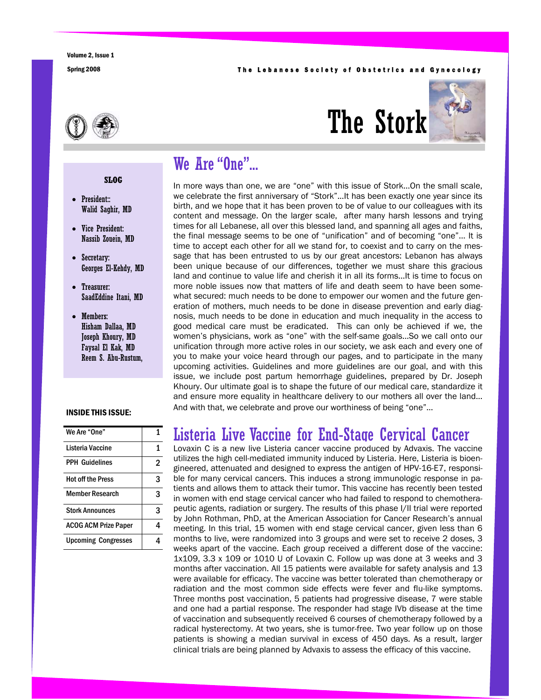#### Spring 2008 **The Lebanese Society of Obstetrics and Gynecology**



# The Stork



## We Are "One"...

In more ways than one, we are "one" with this issue of Stork...On the small scale, we celebrate the first anniversary of "Stork"...It has been exactly one year since its birth, and we hope that it has been proven to be of value to our colleagues with its content and message. On the larger scale, after many harsh lessons and trying times for all Lebanese, all over this blessed land, and spanning all ages and faiths, the final message seems to be one of "unification" and of becoming "one"… It is time to accept each other for all we stand for, to coexist and to carry on the message that has been entrusted to us by our great ancestors: Lebanon has always been unique because of our differences, together we must share this gracious land and continue to value life and cherish it in all its forms...It is time to focus on more noble issues now that matters of life and death seem to have been somewhat secured: much needs to be done to empower our women and the future generation of mothers, much needs to be done in disease prevention and early diagnosis, much needs to be done in education and much inequality in the access to good medical care must be eradicated. This can only be achieved if we, the women's physicians, work as "one" with the self-same goals...So we call onto our unification through more active roles in our society, we ask each and every one of you to make your voice heard through our pages, and to participate in the many upcoming activities. Guidelines and more guidelines are our goal, and with this issue, we include post partum hemorrhage guidelines, prepared by Dr. Joseph Khoury. Our ultimate goal is to shape the future of our medical care, standardize it and ensure more equality in healthcare delivery to our mothers all over the land… And with that, we celebrate and prove our worthiness of being "one"...

## Listeria Live Vaccine for End-Stage Cervical Cancer

Lovaxin C is a new live Listeria cancer vaccine produced by Advaxis. The vaccine utilizes the high cell-mediated immunity induced by Listeria. Here, Listeria is bioengineered, attenuated and designed to express the antigen of HPV-16-E7, responsible for many cervical cancers. This induces a strong immunologic response in patients and allows them to attack their tumor. This vaccine has recently been tested in women with end stage cervical cancer who had failed to respond to chemotherapeutic agents, radiation or surgery. The results of this phase I/II trial were reported by John Rothman, PhD, at the American Association for Cancer Research's annual meeting. In this trial, 15 women with end stage cervical cancer, given less than 6 months to live, were randomized into 3 groups and were set to receive 2 doses, 3 weeks apart of the vaccine. Each group received a different dose of the vaccine: 1x109, 3.3 x 109 or 1010 U of Lovaxin C. Follow up was done at 3 weeks and 3 months after vaccination. All 15 patients were available for safety analysis and 13 were available for efficacy. The vaccine was better tolerated than chemotherapy or radiation and the most common side effects were fever and flu-like symptoms. Three months post vaccination, 5 patients had progressive disease, 7 were stable and one had a partial response. The responder had stage IVb disease at the time of vaccination and subsequently received 6 courses of chemotherapy followed by a radical hysterectomy. At two years, she is tumor-free. Two year follow up on those patients is showing a median survival in excess of 450 days. As a result, larger clinical trials are being planned by Advaxis to assess the efficacy of this vaccine.

#### **SLOG**

- President:: Walid Saghir, MD
- Vice President: Nassib Zouein, MD
- Secretary: Georges El-Kehdy, MD
- Treasurer: SaadEddine Itani, MD
- Members: Hisham Dallaa, MD Joseph Khoury, MD Faysal El Kak, MD Reem S. Abu-Rustum,

#### INSIDE THIS ISSUE:

| We Are "One"                |   |
|-----------------------------|---|
| Listeria Vaccine            | 1 |
| <b>PPH Guidelines</b>       | 2 |
| <b>Hot off the Press</b>    | 3 |
| Member Research             | 3 |
| <b>Stork Announces</b>      | 3 |
| <b>ACOG ACM Prize Paper</b> |   |
| <b>Upcoming Congresses</b>  |   |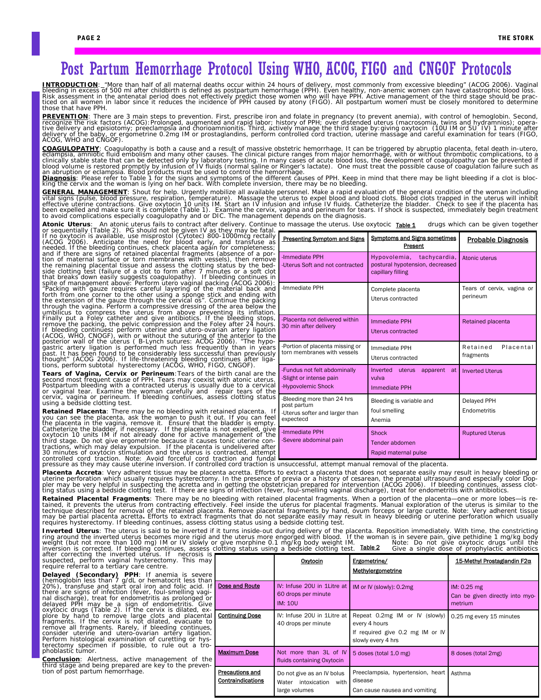# Post Partum Hemorrhage Protocol Using WHO, ACOG, FIGO and CNGOF Protocols

INTRODUCTION: "More than half of all maternal deaths occur within 24 hours of delivery, most commonly from excessive bleeding" (ACOG 2006). Vaginal<br>bleeding in excess of 500 ml after childbirth is defined as postpartum hem

**PREVENTION**: There are 3 main steps to prevention. First, prescribe iron and folate in pregnancy (to prevent anemia), with control of hemoglobin. Second,<br>recognize the risk factors (ACOG):Prolonged, augmented and rapid la delivery of the baby, or ergometrine 0.2mg IM or prostaglandins, perform controlled cord traction, uterine massage and careful examination for tears (FIGO,<br>ACOG, WHO and CNGOF).

COAGULOPATHY: Coagulopathy is both a cause and a result of massive obstetric hemorrhage. It can be triggered by abruptio placenta, fetal death in-utero,<br>eclampsia, amniotic fluid embolism and many other causes. The clinica

Diagnosis: Please refer to Table 1 for the signs and symptoms of the different causes of PPH. Keep in mind that there may be light bleeding if a clot is bloc-<br>king the cervix and the woman is lying on her back. With comple

**GENERAL MANAGEMENT**: Shout for help. Urgently mobilize all available personnel. Make a rapid evaluation of the general condition of the woman including<br>vital signs (pulse, blood pressure, respiration, temperature). Massag effective uterine contractions. Give oxytocin 10 units IM. Start an IV infusion and infuse IV fluids. Catheterize the bladder. Check to see if the placenta has<br>been expelled and make sure it is complete (Table 1). Examine

An atonic uterus fails to contract after delivery. Continue to massage the uterus. Use oxytocic Table 1

-Immediate PPH

**Atonic Uterus:** An atonic uterus fails to contract after delivery. Continue to massage the uterus. Use oxytocic Table 1 drugs which can be given together<br>or sequentially (Table 2). PG should not be given 1V as they may be the remaining placental tissue and assess the clotting status by the bed-<br>side clotting test (failure of a clot to form after 7 minutes or a soft clot<br>that breaks down easily suggests coagulopathy). If bleeding continues i If bleeding continues: perform uterine and utero-ovarian artery ligation (ACOG, WHO, CNOGF), with or without the suturing of the anterior to the posterior to the posterior wall of the uterus (B-Lynch sutures: ACOG 2006). "

**Tears of Vagina, Cervix or Perineum**: Tears of the birth canal are the second most frequent cause of PPH. Tears may coexist with atomic uterus. Postpartum bleeding with a contracted uterus is usually due to a cervical or

**Retained Placenta**: There may be no bleeding with retained placenta. If the us softer and larger than<br>the placenta in the vagina, remove it. Ensure that the bladder is empty.<br>the placenta in the vagina, remove it. Ensure

| -Immediate PPH<br>-Uterus Soft and not contracted                                        | Hypovolemia, tachycardia,<br>postural hypotension, decreased<br>capillary filling | Atonic uterus                          |  |
|------------------------------------------------------------------------------------------|-----------------------------------------------------------------------------------|----------------------------------------|--|
| -Immediate PPH                                                                           | Complete placenta<br>Uterus contracted                                            | Tears of cervix, vagina or<br>perineum |  |
| -Placenta not delivered within<br>30 min after delivery                                  | <b>Immediate PPH</b><br>Uterus contracted                                         | Retained placenta                      |  |
| -Portion of placenta missing or<br>torn membranes with vessels                           | Immediate PPH<br>Uterus contracted                                                | Retained<br>Placental<br>fragments     |  |
| -Fundus not felt abdominally<br>-Slight or intense pain<br>-Hypovolemic Shock            | Inverted<br>apparent<br>uterus<br>at<br>vulva<br><b>Immediate PPH</b>             | <b>Inverted Uterus</b>                 |  |
| -Bleeding more than 24 hrs<br>post partum<br>-Uterus softer and larger than<br>expectecd | Bleeding is variable and<br>foul smelling<br>Anemia                               | Delayed PPH<br>Endometritis            |  |
| -Immediate PPH<br>-Severe abdominal pain                                                 | Shock<br>Tender abdomen<br>Rapid maternal pulse                                   | <b>Ruptured Uterus</b>                 |  |

Hypovolemia, tachycardia,

**nd Signs sometimes** Probable Diagnosis<br>Present

Presenting Symptom and Signs Symptoms and Signs sometimes

**Placenta Accreta**: Very adherent tissue may be placenta acretta. Efforts to extract a placenta that does not separate easily may result in heavy bleeding or uterine perforation which usually requires hysterectomy. In the

Retained Placental Fragments: There may be no bleeding with retained placental fragments. When a portion of the placenta—one or more lobes—is re-<br>tained, it prevents the uterus from contracting effectively. Feel inside the technique described for removal of the retained placenta. Remove placental fragments by hand, ovum forceps or large curette. Note: Very adherent tissue<br>may be partial placenta acretta. Efforts to extract fragments that do

*Inverted Uterus*: The uterus is said to be inverted if it turns inside-out during delivery of the placenta. Reposition immediately. With time, the constricting<br>ring around the inverted uterus becomes more rigid and the ut Table 2

| weight (but not more than 100 mg/ nw or iv slowly or give morphine 0.1 mg/kg bouy weight nin.<br>inversion is corrected. If bleeding continues, assess clotting status using a bedside clotting test.<br>after correcting the inverted uterus. If mecrosis is t                                                                                                                                                                                                                                                                                                                                                                                                                                                                                                                                                                                                                                                                                                                  | NOTC. DO NOT GIVE OXYTOCIC GIUGO GINNI THE<br>Table 2<br>Give a single dose of prophylactic antibiotics |                                                                                                 |                                                                                                                                                                  |                                                           |
|----------------------------------------------------------------------------------------------------------------------------------------------------------------------------------------------------------------------------------------------------------------------------------------------------------------------------------------------------------------------------------------------------------------------------------------------------------------------------------------------------------------------------------------------------------------------------------------------------------------------------------------------------------------------------------------------------------------------------------------------------------------------------------------------------------------------------------------------------------------------------------------------------------------------------------------------------------------------------------|---------------------------------------------------------------------------------------------------------|-------------------------------------------------------------------------------------------------|------------------------------------------------------------------------------------------------------------------------------------------------------------------|-----------------------------------------------------------|
| suspected, perform vaginal hysterectomy. This may<br>require referral to a tertiary care centre.                                                                                                                                                                                                                                                                                                                                                                                                                                                                                                                                                                                                                                                                                                                                                                                                                                                                                 |                                                                                                         | <u>Oxytocin</u>                                                                                 | Ergometrine/<br>Methylergometrine                                                                                                                                | 15-Methyl Prostaglandin F2α                               |
| <b>Delayed (Secondary) PPH:</b> If anemia is severe<br>(hemoglobin less than 7 g/dL or hematocrit less than<br>20%), transfuse and start oral iron and folic acid. If <b>Dose and Route</b><br>there are signs of infection (fever, foul-smelling vagi-)<br>nal discharge), treat for endometritis as prolonged or<br>delayed PPH may be a sign of endometritis. Give<br>oxytocic drugs (Table 2). If the cervix is dilated, ex-<br>plore by hand to remove large clots and placental <b>Continuing Dose</b><br>fragments. If the cervix is not dilated, evacuate to l<br>remove all fragments. Rarely, if bleeding continues,<br>consider uterine and utero-ovarian artery ligation.<br>Perform histological examination of curetting or hys-<br>terectomy specimen if possible, to rule out a tro-<br>phoblastic tumor.<br><b>Conclusion</b> : Alertness, active management of the<br>third stage and being prepared are key to the preven-<br>tion of post partum hemorrhage. |                                                                                                         |                                                                                                 |                                                                                                                                                                  |                                                           |
|                                                                                                                                                                                                                                                                                                                                                                                                                                                                                                                                                                                                                                                                                                                                                                                                                                                                                                                                                                                  |                                                                                                         | IV: Infuse 20U in 1Litre at   IM or IV (slowly): 0.2mg<br>60 drops per minute<br><b>IM: 10U</b> |                                                                                                                                                                  | IM: 0.25 mg<br>Can be given directly into myo-<br>metrium |
|                                                                                                                                                                                                                                                                                                                                                                                                                                                                                                                                                                                                                                                                                                                                                                                                                                                                                                                                                                                  |                                                                                                         | 40 drops per minute                                                                             | IV: Infuse 20U in 1Litre at Repeat 0.2mg IM or IV (slowly)   0.25 mg every 15 minutes<br>every 4 hours<br>If required give 0.2 mg IM or IV<br>slowly every 4 hrs |                                                           |
|                                                                                                                                                                                                                                                                                                                                                                                                                                                                                                                                                                                                                                                                                                                                                                                                                                                                                                                                                                                  | <b>Maximum Dose</b>                                                                                     | Not more than 3L of IV 5 doses (total 1.0 mg)<br>fluids containing Oxytocin                     |                                                                                                                                                                  | 8 doses (total 2mg)                                       |
|                                                                                                                                                                                                                                                                                                                                                                                                                                                                                                                                                                                                                                                                                                                                                                                                                                                                                                                                                                                  | Precautions and<br>Contraindications                                                                    | Do not give as an IV bolus<br>Water intoxication with<br>large volumes                          | Preeclampsia, hypertension, heart Asthma<br>disease<br>Can cause nausea and vomiting                                                                             |                                                           |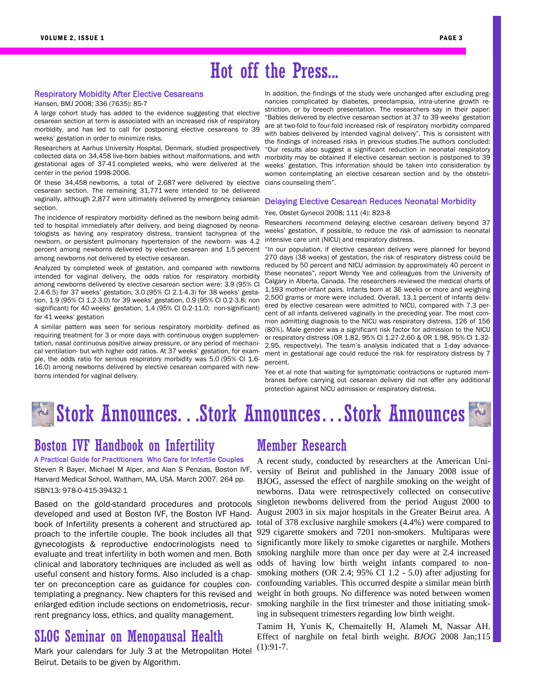# Hot off the Press...

#### Respiratory Mobidity After Elective Cesareans

Hansen, BMJ 2008; 336 (7635): 85-7

A large cohort study has added to the evidence suggesting that elective cesarean section at term is associated with an increased risk of respiratory morbidity, and has led to call for postponing elective cesareans to 39 weeks' gestation in order to minimize risks.

Researchers at Aarhus University Hospital, Denmark, studied prospectively collected data on 34,458 live-born babies without malformations, and with gestational ages of 37-41 completed weeks, who were delivered at the center in the period 1998-2006.

Of these 34,458 newborns, a total of 2,687 were delivered by elective cesarean section. The remaining 31,771 were intended to be delivered vaginally, although 2,877 were ultimately delivered by emergency cesarean section.

The incidence of respiratory morbidity- defined as the newborn being admitted to hospital immediately after delivery, and being diagnosed by neonatologists as having any respiratory distress, transient tachypnea of the newborn, or persistent pulmonary hypertension of the newborn- was 4.2 intensive care unit (NICU) and respiratory distress. percent among newborns delivered by elective cesarean and 1.5 percent "In our population, if elective cesarean delivery were planned for beyond among newborns not delivered by elective cesarean.

Analyzed by completed week of gestation, and compared with newborns intended for vaginal delivery, the odds ratios for respiratory morbidity among newborns delivered by elective cesarean section were: 3.9 (95% CI 2.4-6.5) for 37 weeks' gestation, 3.0 (95% CI 2.1-4.3) for 38 weeks' gestation, 1.9 (95% CI 1.2-3.0) for 39 weeks' gestation, 0.9 (95% CI 0.2-3.8; non -significant) for 40 weeks' gestation, 1.4 (95% CI 0.2-11.0; non-significant) for 41 weeks' gestation

A similar pattern was seen for serious respiratory morbidity- defined as requiring treatment for 3 or more days with continuous oxygen supplementation, nasal continuous positive airway pressure, or any period of mechanical ventilation- but with higher odd ratios. At 37 weeks' gestation, for example, the odds ratio for serious respiratory morbidity was 5.0 (95% CI 1.6- 16.0) among newborns delivered by elective cesarean compared with newborns intended for vaginal delivery.

In addition, the findings of the study were unchanged after excluding pregnancies complicated by diabetes, preeclampsia, intra-uterine growth restriction, or by breech presentation. The researchers say in their paper: "Babies delivered by elective cesarean section at 37 to 39 weeks' gestation are at two-fold to four-fold increased risk of respiratory morbidity compared with babies delivered by intended vaginal delivery". This is consistent with the findings of increased risks in previous studies.The authors concluded: "Our results also suggest a significant reduction in neonatal respiratory morbidity may be obtained if elective cesarean section is postponed to 39 weeks' gestation. This information should be taken into consideration by women contemplating an elective cesarean section and by the obstetricians counseling them".

#### Delaying Elective Cesarean Reduces Neonatal Morbidity

#### Yee, Obstet Gynecol 2008; 111 (4): 823-8

Researchers recommend delaying elective cesarean delivery beyond 37 weeks' gestation, if possible, to reduce the risk of admission to neonatal

270 days (38 weeks) of gestation, the risk of respiratory distress could be reduced by 50 percent and NICU admission by approximately 40 percent in these neonates", report Wendy Yee and colleagues from the University of Calgary in Alberta, Canada. The researchers reviewed the medical charts of 1,193 mother-infant pairs. Infants born at 36 weeks or more and weighing 2,500 grams or more were included. Overall, 13.1 percent of infants delivered by elective cesarean were admitted to NICU, compared with 7.3 percent of all infants delivered vaginally in the preceding year. The most common admitting diagnosis to the NICU was respiratory distress, 126 of 156 (80%). Male gender was a significant risk factor for admission to the NICU or respiratory distress (OR 1.82, 95% CI 1.27-2.60 & OR 1.98, 95% CI 1.32- 2.95, respectively). The team's analysis indicated that a 1-day advancement in gestational age could reduce the risk for respiratory distress by 7 percent.

Yee et al note that waiting for symptomatic contractions or ruptured membranes before carrying out cesarean delivery did not offer any additional protection against NICU admission or respiratory distress.

# Stork Announces. . .Stork Announces…Stork Announces

### Boston IVF Handbook on Infertility

A Practical Guide for Practitioners Who Care for Infertile Couples

Steven R Bayer, Michael M Alper, and Alan S Penzias, Boston IVF, Harvard Medical School, Waltham, MA, USA. March 2007. 264 pp. ISBN13: 978-0-415-39432-1

Based on the gold-standard procedures and protocols developed and used at Boston IVF, the Boston IVF Handbook of Infertility presents a coherent and structured apuseful consent and history forms. Also included is a chaprent pregnancy loss, ethics, and quality management.

### SLOG Seminar on Menopausal Health

Mark your calendars for July 3 at the Metropolitan Hotel Beirut. Details to be given by Algorithm.

### Member Research

A recent study, conducted by researchers at the American University of Beirut and published in the January 2008 issue of BJOG, assessed the effect of narghile smoking on the weight of newborns. Data were retrospectively collected on consecutive singleton newborns delivered from the period August 2000 to August 2003 in six major hospitals in the Greater Beirut area. A total of 378 exclusive narghile smokers (4.4%) were compared to proach to the infertile couple. The book includes all that 929 cigarette smokers and 7201 non-smokers. Multiparas were gynecologists & reproductive endocrinologists need to significantly more likely to smoke cigarettes or narghile. Mothers evaluate and treat infertility in both women and men. Both smoking narghile more than once per day were at 2.4 increased clinical and laboratory techniques are included as well as odds of having low birth weight infants compared to nonsmoking mothers (OR 2.4; 95% CI 1.2 - 5.0) after adjusting for ter on preconception care as guidance for couples con- confounding variables. This occurred despite a similar mean birth templating a pregnancy. New chapters for this revised and weight in both groups. No difference was noted between women enlarged edition include sections on endometriosis, recur- smoking narghile in the first trimester and those initiating smoking in subsequent trimesters regarding low birth weight.

> Tamim H, Yunis K, Chemaitelly H, Alameh M, Nassar AH. Effect of narghile on fetal birth weight. *BJOG* 2008 Jan;115 (1):91-7.